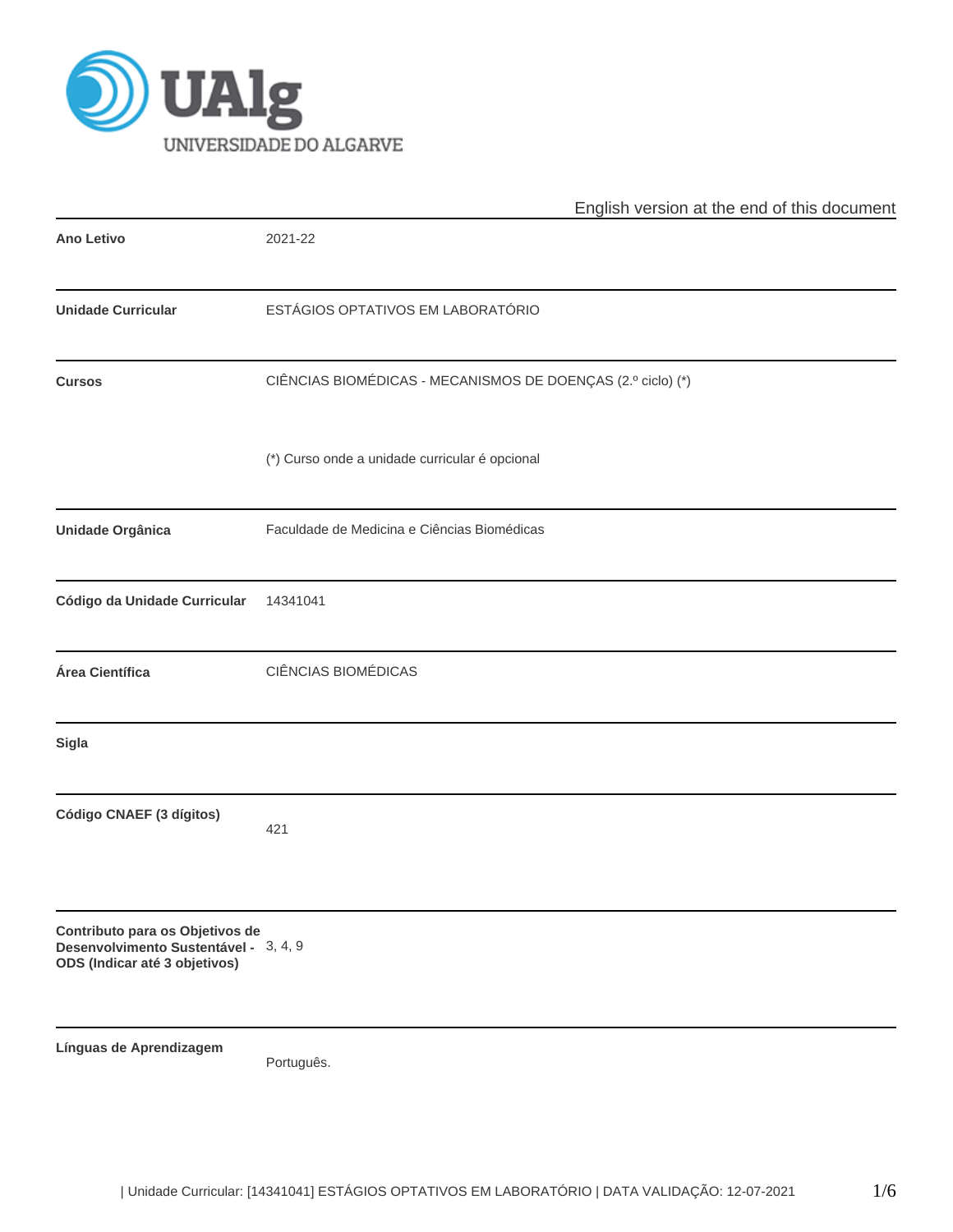

|                                                                                                           | English version at the end of this document                 |  |  |  |  |  |  |
|-----------------------------------------------------------------------------------------------------------|-------------------------------------------------------------|--|--|--|--|--|--|
| <b>Ano Letivo</b>                                                                                         | 2021-22                                                     |  |  |  |  |  |  |
| <b>Unidade Curricular</b>                                                                                 | ESTÁGIOS OPTATIVOS EM LABORATÓRIO                           |  |  |  |  |  |  |
| <b>Cursos</b>                                                                                             | CIÊNCIAS BIOMÉDICAS - MECANISMOS DE DOENÇAS (2.º ciclo) (*) |  |  |  |  |  |  |
|                                                                                                           | (*) Curso onde a unidade curricular é opcional              |  |  |  |  |  |  |
| Unidade Orgânica                                                                                          | Faculdade de Medicina e Ciências Biomédicas                 |  |  |  |  |  |  |
| Código da Unidade Curricular                                                                              | 14341041                                                    |  |  |  |  |  |  |
| Área Científica                                                                                           | CIÊNCIAS BIOMÉDICAS                                         |  |  |  |  |  |  |
| <b>Sigla</b>                                                                                              |                                                             |  |  |  |  |  |  |
| Código CNAEF (3 dígitos)                                                                                  | 421                                                         |  |  |  |  |  |  |
| Contributo para os Objetivos de<br>Desenvolvimento Sustentável - 3, 4, 9<br>ODS (Indicar até 3 objetivos) |                                                             |  |  |  |  |  |  |
| Línguas de Aprendizagem                                                                                   | Português.                                                  |  |  |  |  |  |  |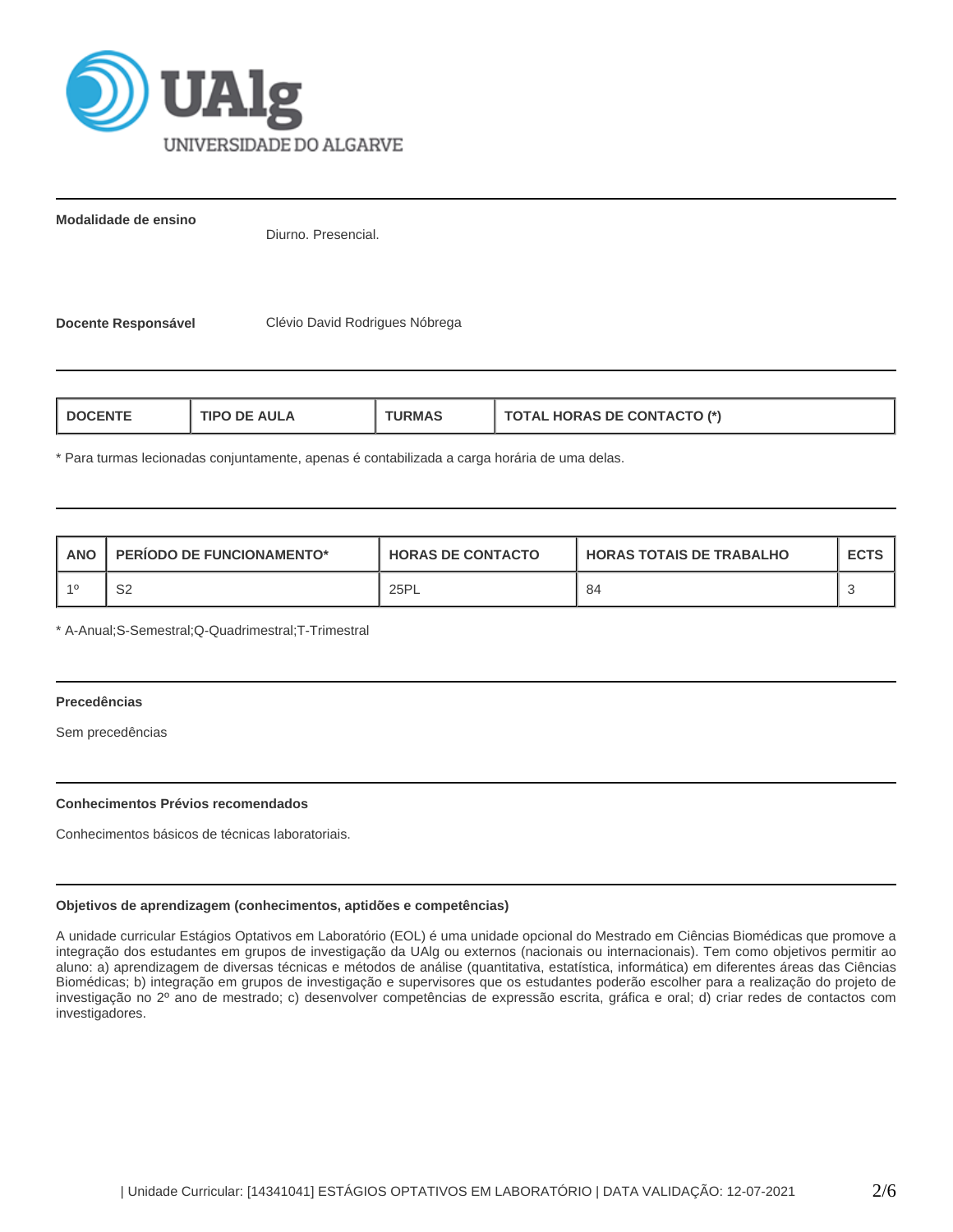

**Modalidade de ensino**

Diurno. Presencial.

**Docente Responsável** Clévio David Rodrigues Nóbrega

| <b>TOTAL HORAS DE CONTACTO (*)</b><br><b>TIPO DE AULA</b><br><b>I DOCENTE</b><br><b>URMAS</b> |
|-----------------------------------------------------------------------------------------------|
|-----------------------------------------------------------------------------------------------|

\* Para turmas lecionadas conjuntamente, apenas é contabilizada a carga horária de uma delas.

| <b>ANO</b> | <b>PERIODO DE FUNCIONAMENTO*</b> | <b>HORAS DE CONTACTO</b> | I HORAS TOTAIS DE TRABALHO | <b>ECTS</b> |
|------------|----------------------------------|--------------------------|----------------------------|-------------|
|            | co<br>ےت                         | 25PL                     | 84                         |             |

\* A-Anual;S-Semestral;Q-Quadrimestral;T-Trimestral

# **Precedências**

Sem precedências

# **Conhecimentos Prévios recomendados**

Conhecimentos básicos de técnicas laboratoriais.

# **Objetivos de aprendizagem (conhecimentos, aptidões e competências)**

A unidade curricular Estágios Optativos em Laboratório (EOL) é uma unidade opcional do Mestrado em Ciências Biomédicas que promove a integração dos estudantes em grupos de investigação da UAlg ou externos (nacionais ou internacionais). Tem como objetivos permitir ao aluno: a) aprendizagem de diversas técnicas e métodos de análise (quantitativa, estatística, informática) em diferentes áreas das Ciências Biomédicas; b) integração em grupos de investigação e supervisores que os estudantes poderão escolher para a realização do projeto de investigação no 2º ano de mestrado; c) desenvolver competências de expressão escrita, gráfica e oral; d) criar redes de contactos com investigadores.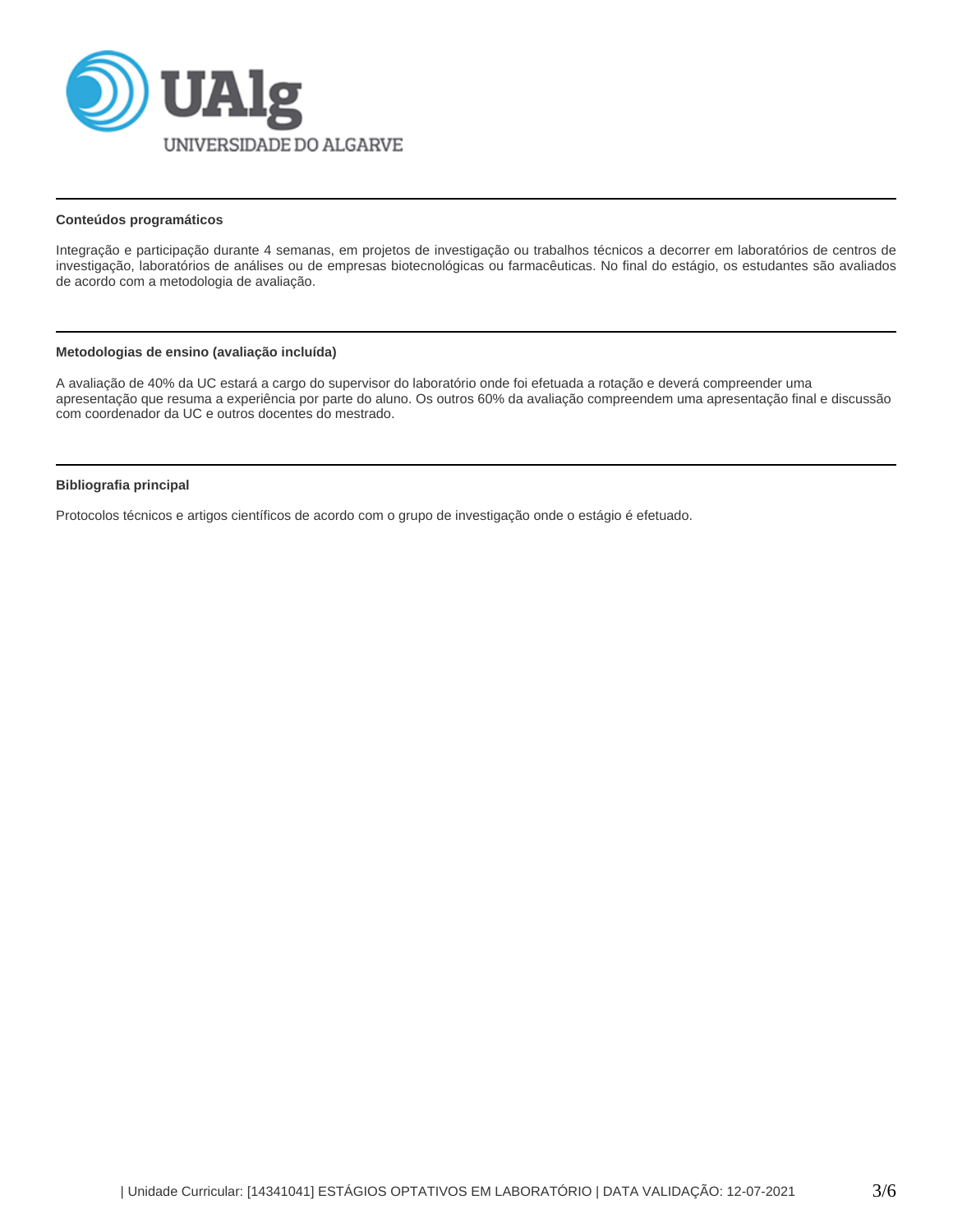

### **Conteúdos programáticos**

Integração e participação durante 4 semanas, em projetos de investigação ou trabalhos técnicos a decorrer em laboratórios de centros de investigação, laboratórios de análises ou de empresas biotecnológicas ou farmacêuticas. No final do estágio, os estudantes são avaliados de acordo com a metodologia de avaliação.

# **Metodologias de ensino (avaliação incluída)**

A avaliação de 40% da UC estará a cargo do supervisor do laboratório onde foi efetuada a rotação e deverá compreender uma apresentação que resuma a experiência por parte do aluno. Os outros 60% da avaliação compreendem uma apresentação final e discussão com coordenador da UC e outros docentes do mestrado.

# **Bibliografia principal**

Protocolos técnicos e artigos científicos de acordo com o grupo de investigação onde o estágio é efetuado.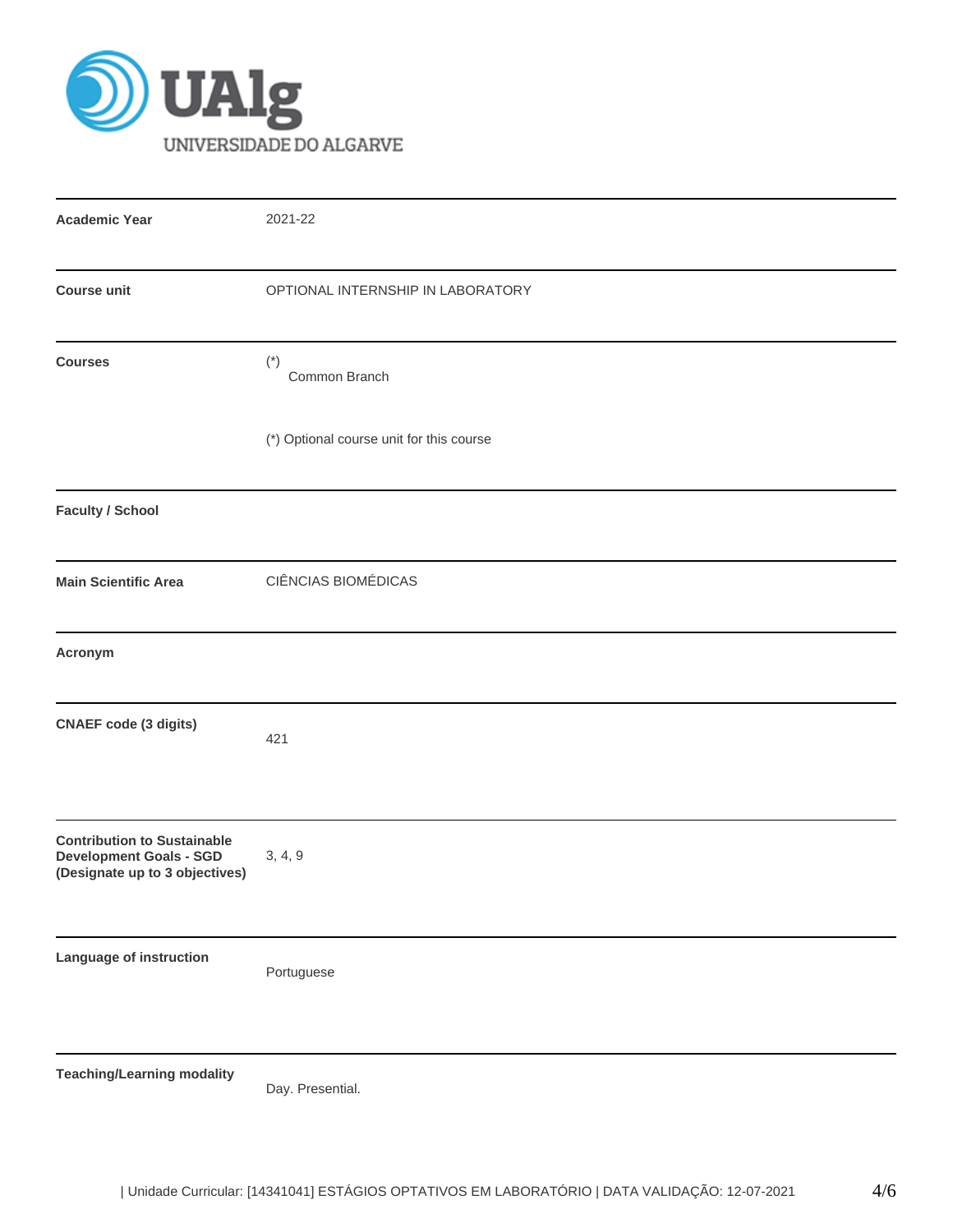

| <b>Academic Year</b>                                                                                   | 2021-22                                  |  |  |  |  |
|--------------------------------------------------------------------------------------------------------|------------------------------------------|--|--|--|--|
| <b>Course unit</b>                                                                                     | OPTIONAL INTERNSHIP IN LABORATORY        |  |  |  |  |
| <b>Courses</b>                                                                                         | $(\dot{\phantom{a}})$<br>Common Branch   |  |  |  |  |
|                                                                                                        | (*) Optional course unit for this course |  |  |  |  |
| <b>Faculty / School</b>                                                                                |                                          |  |  |  |  |
| <b>Main Scientific Area</b>                                                                            | CIÊNCIAS BIOMÉDICAS                      |  |  |  |  |
| Acronym                                                                                                |                                          |  |  |  |  |
| <b>CNAEF</b> code (3 digits)                                                                           | 421                                      |  |  |  |  |
| <b>Contribution to Sustainable</b><br><b>Development Goals - SGD</b><br>(Designate up to 3 objectives) | 3, 4, 9                                  |  |  |  |  |
| Language of instruction                                                                                | Portuguese                               |  |  |  |  |
| <b>Teaching/Learning modality</b>                                                                      | Day. Presential.                         |  |  |  |  |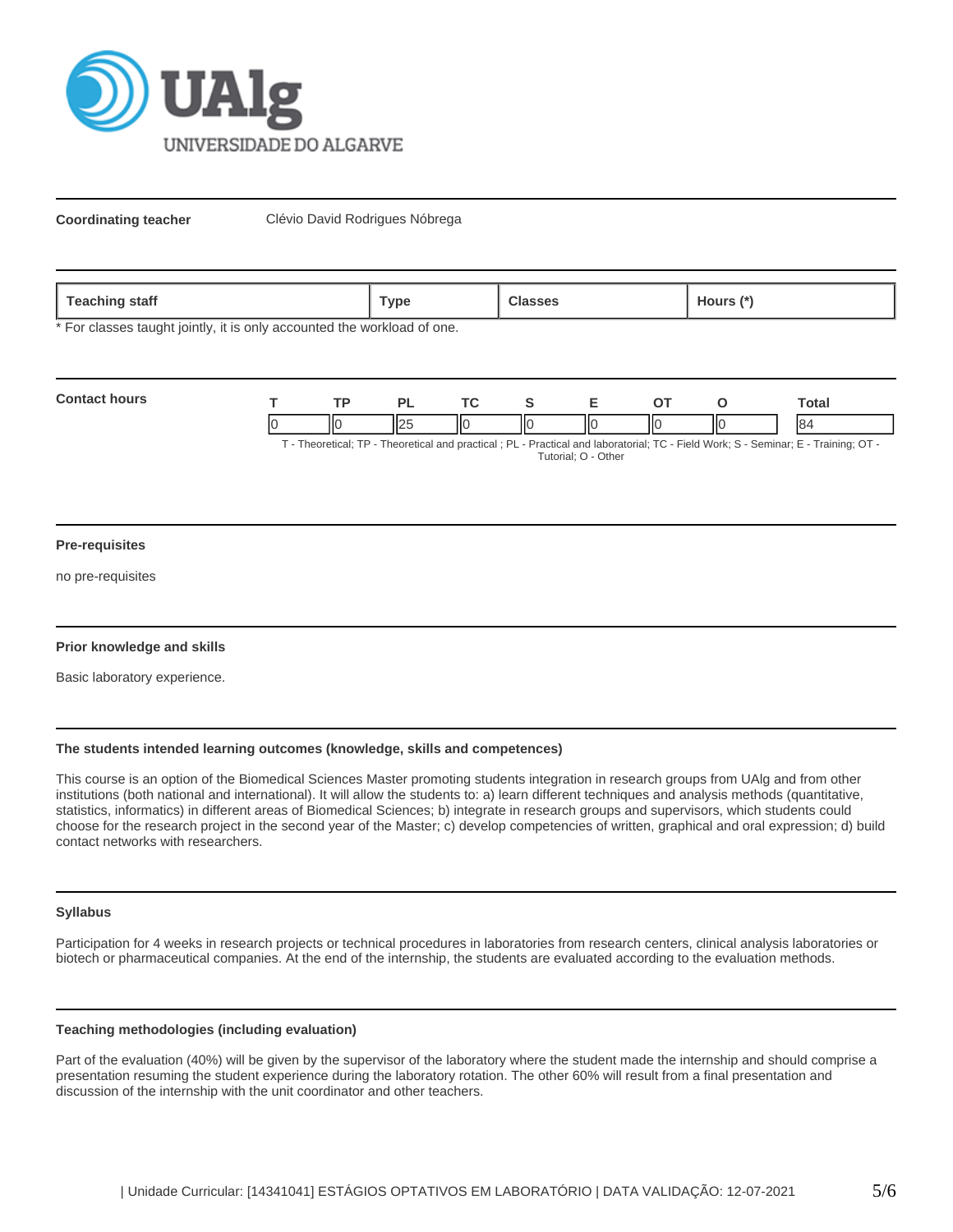

**Coordinating teacher** Clévio David Rodrigues Nóbrega

| . .<br>ѕтатт<br>1.94911117<br>$\overline{\phantom{0}}$ | ™vpe |  | purs |
|--------------------------------------------------------|------|--|------|
|--------------------------------------------------------|------|--|------|

\* For classes taught jointly, it is only accounted the workload of one.

| <b>Contact hours</b> |    |  |   |  |    | `otal                                                                                                                        |
|----------------------|----|--|---|--|----|------------------------------------------------------------------------------------------------------------------------------|
|                      | IЮ |  | Ш |  | IІ | <b>84</b>                                                                                                                    |
|                      |    |  |   |  |    | T. Theoretical: TD. Theoretical and prootical : DL. Drastical and laboratorial: TC. Eight Wark: C. Cominar: E. Troining: OT. |

T - Theoretical; TP - Theoretical and practical ; PL - Practical and laboratorial; TC - Field Work; S - Seminar; E - Training; OT - Tutorial; O - Other

#### **Pre-requisites**

no pre-requisites

# **Prior knowledge and skills**

Basic laboratory experience.

# **The students intended learning outcomes (knowledge, skills and competences)**

This course is an option of the Biomedical Sciences Master promoting students integration in research groups from UAlg and from other institutions (both national and international). It will allow the students to: a) learn different techniques and analysis methods (quantitative, statistics, informatics) in different areas of Biomedical Sciences; b) integrate in research groups and supervisors, which students could choose for the research project in the second year of the Master; c) develop competencies of written, graphical and oral expression; d) build contact networks with researchers.

#### **Syllabus**

Participation for 4 weeks in research projects or technical procedures in laboratories from research centers, clinical analysis laboratories or biotech or pharmaceutical companies. At the end of the internship, the students are evaluated according to the evaluation methods.

#### **Teaching methodologies (including evaluation)**

Part of the evaluation (40%) will be given by the supervisor of the laboratory where the student made the internship and should comprise a presentation resuming the student experience during the laboratory rotation. The other 60% will result from a final presentation and discussion of the internship with the unit coordinator and other teachers.